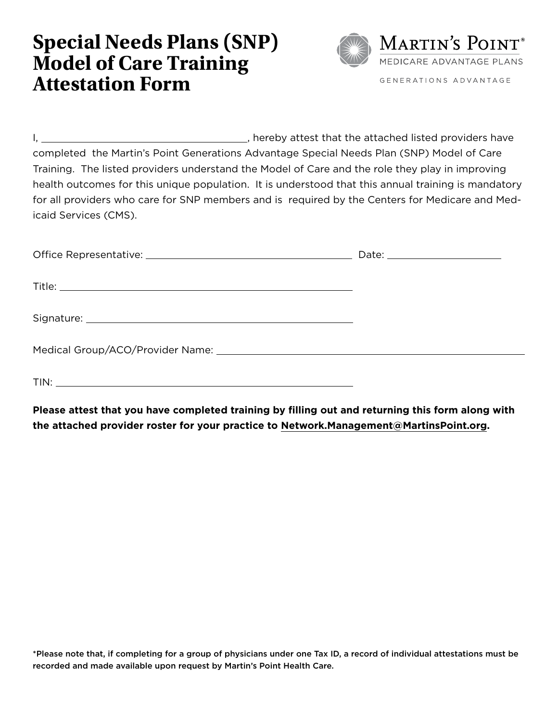## **Special Needs Plans (SNP) Model of Care Training Attestation Form**



I, 1. The same set of the attached listed providers have completed the Martin's Point Generations Advantage Special Needs Plan (SNP) Model of Care Training. The listed providers understand the Model of Care and the role they play in improving health outcomes for this unique population. It is understood that this annual training is mandatory for all providers who care for SNP members and is required by the Centers for Medicare and Medicaid Services (CMS).

| TIN: |  |
|------|--|

**Please attest that you have completed training by filling out and returning this form along with the attached provider roster for your practice to [Network.Management@MartinsPoint.org.](mailto:Network.Management%40MartinsPoint.org?subject=SNP%20Training%20Attestation%20Form)** 

\*Please note that, if completing for a group of physicians under one Tax ID, a record of individual attestations must be recorded and made available upon request by Martin's Point Health Care.